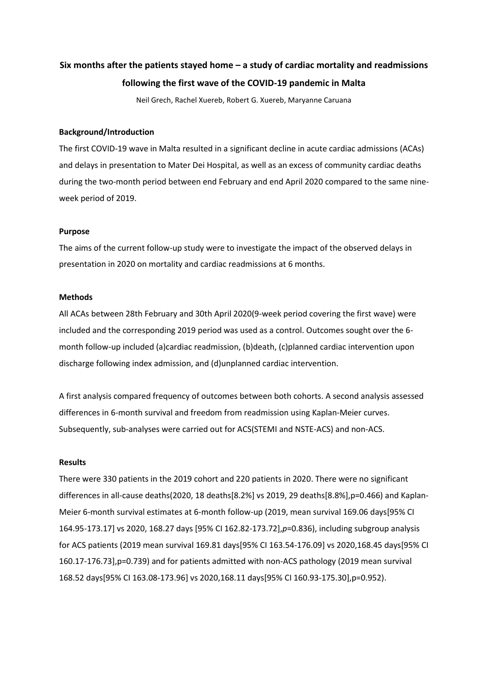# **Six months after the patients stayed home – a study of cardiac mortality and readmissions following the first wave of the COVID-19 pandemic in Malta**

Neil Grech, Rachel Xuereb, Robert G. Xuereb, Maryanne Caruana

#### **Background/Introduction**

The first COVID-19 wave in Malta resulted in a significant decline in acute cardiac admissions (ACAs) and delays in presentation to Mater Dei Hospital, as well as an excess of community cardiac deaths during the two-month period between end February and end April 2020 compared to the same nineweek period of 2019.

### **Purpose**

The aims of the current follow-up study were to investigate the impact of the observed delays in presentation in 2020 on mortality and cardiac readmissions at 6 months.

### **Methods**

All ACAs between 28th February and 30th April 2020(9-week period covering the first wave) were included and the corresponding 2019 period was used as a control. Outcomes sought over the 6 month follow-up included (a)cardiac readmission, (b)death, (c)planned cardiac intervention upon discharge following index admission, and (d)unplanned cardiac intervention.

A first analysis compared frequency of outcomes between both cohorts. A second analysis assessed differences in 6-month survival and freedom from readmission using Kaplan-Meier curves. Subsequently, sub-analyses were carried out for ACS(STEMI and NSTE-ACS) and non-ACS.

#### **Results**

There were 330 patients in the 2019 cohort and 220 patients in 2020. There were no significant differences in all-cause deaths(2020, 18 deaths[8.2%] vs 2019, 29 deaths[8.8%],p=0.466) and Kaplan-Meier 6-month survival estimates at 6-month follow-up (2019, mean survival 169.06 days[95% CI 164.95-173.17] vs 2020, 168.27 days [95% CI 162.82-173.72],*p*=0.836), including subgroup analysis for ACS patients (2019 mean survival 169.81 days[95% CI 163.54-176.09] vs 2020,168.45 days[95% CI 160.17-176.73],p=0.739) and for patients admitted with non-ACS pathology (2019 mean survival 168.52 days[95% CI 163.08-173.96] vs 2020,168.11 days[95% CI 160.93-175.30],p=0.952).